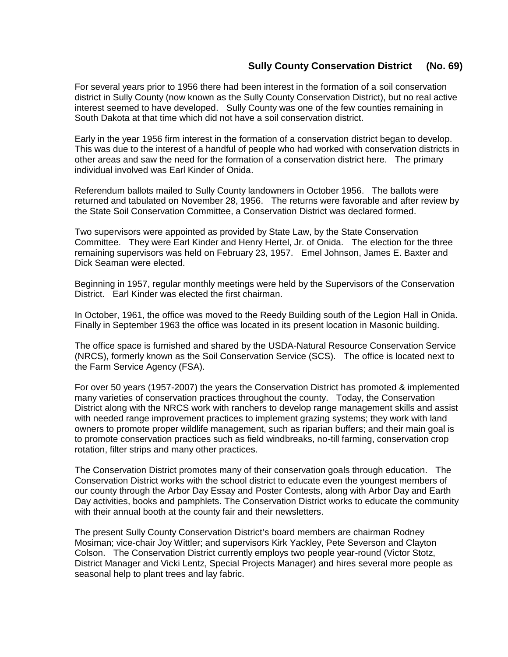## **Sully County Conservation District (No. 69)**

For several years prior to 1956 there had been interest in the formation of a soil conservation district in Sully County (now known as the Sully County Conservation District), but no real active interest seemed to have developed. Sully County was one of the few counties remaining in South Dakota at that time which did not have a soil conservation district.

Early in the year 1956 firm interest in the formation of a conservation district began to develop. This was due to the interest of a handful of people who had worked with conservation districts in other areas and saw the need for the formation of a conservation district here. The primary individual involved was Earl Kinder of Onida.

Referendum ballots mailed to Sully County landowners in October 1956. The ballots were returned and tabulated on November 28, 1956. The returns were favorable and after review by the State Soil Conservation Committee, a Conservation District was declared formed.

Two supervisors were appointed as provided by State Law, by the State Conservation Committee. They were Earl Kinder and Henry Hertel, Jr. of Onida. The election for the three remaining supervisors was held on February 23, 1957. Emel Johnson, James E. Baxter and Dick Seaman were elected.

Beginning in 1957, regular monthly meetings were held by the Supervisors of the Conservation District. Earl Kinder was elected the first chairman.

In October, 1961, the office was moved to the Reedy Building south of the Legion Hall in Onida. Finally in September 1963 the office was located in its present location in Masonic building.

The office space is furnished and shared by the USDA-Natural Resource Conservation Service (NRCS), formerly known as the Soil Conservation Service (SCS). The office is located next to the Farm Service Agency (FSA).

For over 50 years (1957-2007) the years the Conservation District has promoted & implemented many varieties of conservation practices throughout the county. Today, the Conservation District along with the NRCS work with ranchers to develop range management skills and assist with needed range improvement practices to implement grazing systems; they work with land owners to promote proper wildlife management, such as riparian buffers; and their main goal is to promote conservation practices such as field windbreaks, no-till farming, conservation crop rotation, filter strips and many other practices.

The Conservation District promotes many of their conservation goals through education. The Conservation District works with the school district to educate even the youngest members of our county through the Arbor Day Essay and Poster Contests, along with Arbor Day and Earth Day activities, books and pamphlets. The Conservation District works to educate the community with their annual booth at the county fair and their newsletters.

The present Sully County Conservation District's board members are chairman Rodney Mosiman; vice-chair Joy Wittler; and supervisors Kirk Yackley, Pete Severson and Clayton Colson. The Conservation District currently employs two people year-round (Victor Stotz, District Manager and Vicki Lentz, Special Projects Manager) and hires several more people as seasonal help to plant trees and lay fabric.